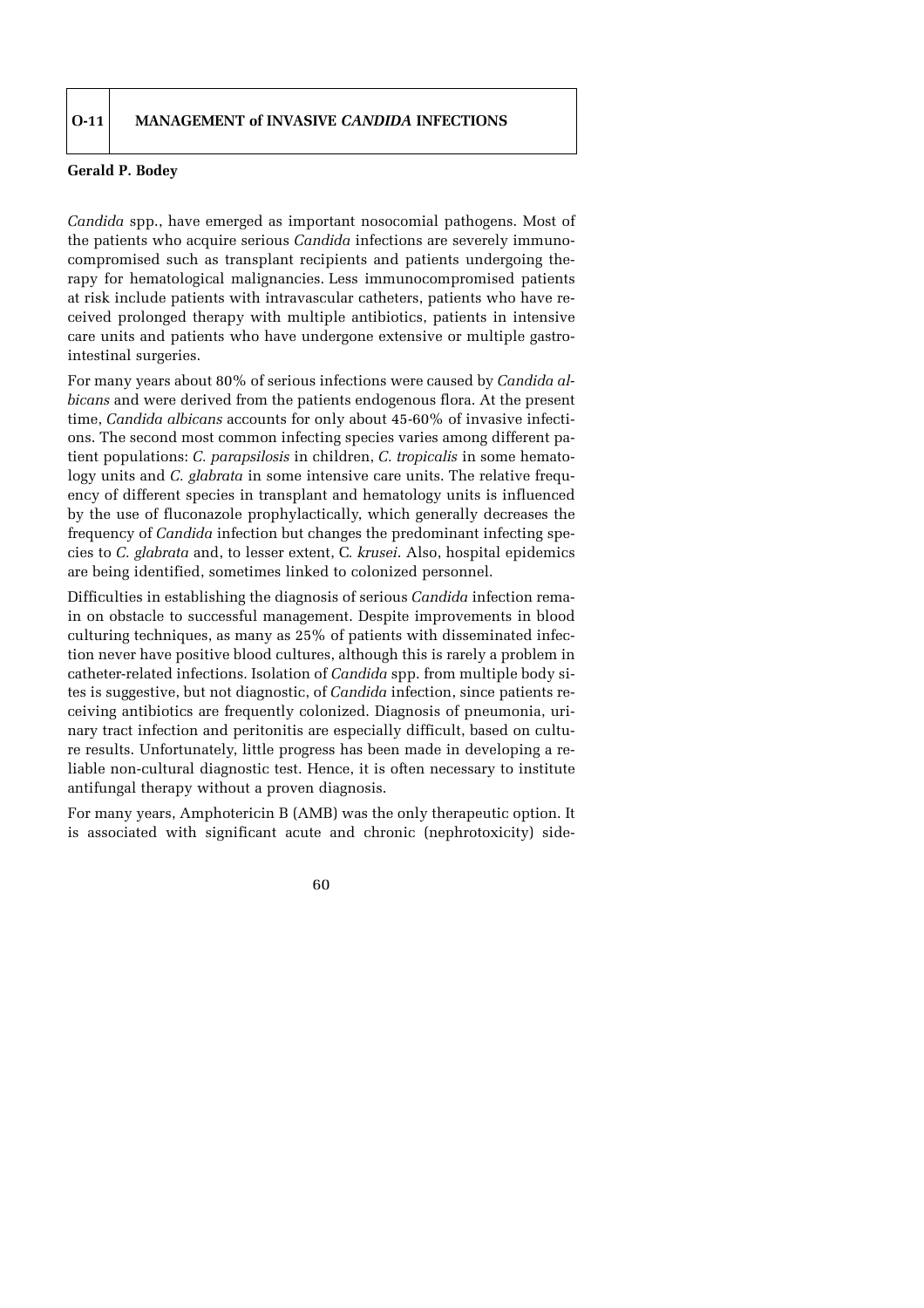## **Gerald P. Bodey**

*Candida* spp., have emerged as important nosocomial pathogens. Most of the patients who acquire serious *Candida* infections are severely immunocompromised such as transplant recipients and patients undergoing therapy for hematological malignancies. Less immunocompromised patients at risk include patients with intravascular catheters, patients who have received prolonged therapy with multiple antibiotics, patients in intensive care units and patients who have undergone extensive or multiple gastrointestinal surgeries.

For many years about 80% of serious infections were caused by *Candida albicans* and were derived from the patients endogenous flora. At the present time, *Candida albicans* accounts for only about 45-60% of invasive infections. The second most common infecting species varies among different patient populations: *C. parapsilosis* in children, *C. tropicalis* in some hematology units and *C. glabrata* in some intensive care units. The relative frequency of different species in transplant and hematology units is influenced by the use of fluconazole prophylactically, which generally decreases the frequency of *Candida* infection but changes the predominant infecting species to *C. glabrata* and, to lesser extent, C*. krusei*. Also, hospital epidemics are being identified, sometimes linked to colonized personnel.

Difficulties in establishing the diagnosis of serious *Candida* infection remain on obstacle to successful management. Despite improvements in blood culturing techniques, as many as 25% of patients with disseminated infection never have positive blood cultures, although this is rarely a problem in catheter-related infections. Isolation of *Candida* spp. from multiple body sites is suggestive, but not diagnostic, of *Candida* infection, since patients receiving antibiotics are frequently colonized. Diagnosis of pneumonia, urinary tract infection and peritonitis are especially difficult, based on culture results. Unfortunately, little progress has been made in developing a reliable non-cultural diagnostic test. Hence, it is often necessary to institute antifungal therapy without a proven diagnosis.

For many years, Amphotericin B (AMB) was the only therapeutic option. It is associated with significant acute and chronic (nephrotoxicity) side-

## 60